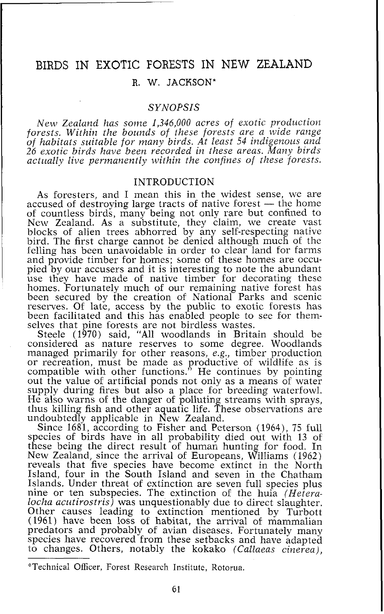# BIRDS IN EXOTIC FORESTS IN NEW ZEALAND

## R. W. JACKSON\*

## SYNOPSIS

New Zealand has some *1,346,000* acres of exotic production forests. Within the bounds of these forests are a wide range of habitats suitable for many birds. At least *54* indigenous and *26* exotic birds have been recorded in these areas. Many birds actually live permanently within the confines of these forests.

### INTRODUCTION

As foresters, and I mean this in the widest sense, we are accused of destroying large tracts of native forest - the home of countless birds, many being not only rare but confined to New Zealand. As a substitute, they claim, we create vast blocks of alien trees abhorred by any self-respecting native bird. The first charge cannot be denied although much of the felling has been unavoidable in order to clear land for farms and provide timber for homes; some of these homes are occupied by our accusers and it is interesting to note the abundant use they have made of native timber for decorating these homes. Fortunately much of our remaining native forest has been secured by the creation of National Parks and scenic reserves. Of late, access by the public to exotic forests has been facilitated and this has enabled people to see for themselves that pine forests are not birdless wastes.

Steele (1970) said, "All woodlands in Britain should be considered as nature reserves to some degree. Woodlands managed primarily for other reasons, e.g., timber production or recreation, must be made as productive of wildlife as is compatible with other functions." He continues by pointing out the value of artificial ponds not only as a means of water supply during fires but also a place for breeding waterfowl. He also warns of the danger of polluting streams with sprays, thus killing fish and other aquatic life. These observations are undoubtedly applicable in New Zealand.

Since 1681, according to Fisher and Peterson (1964), 75 full species of birds have in all probability died out with 13 of these being the direct result of human hunting for food. In New Zealand, since the arrival of Europeans, Williams (1962) reveals that five species have become extinct in the North Island, four in the South Island and seven in the Chatham Islands. Under threat of extinction are seven full species plus nine or ten subspecies. The extinction of the huia (Hetera $local acutirostris$  was unquestionably due to direct slaughter. Other causes leading to extinction mentioned by Turbott (1961) have been loss of habitat, the arrival of mammalian predators and probably of avian diseases. Fortunately many species have recovered from these setbacks and have adapted to changes. Others, notably the kokako (Callaeas cinerea),

<sup>\*</sup>Technical Officer, Forest Research Institute, Kotorua.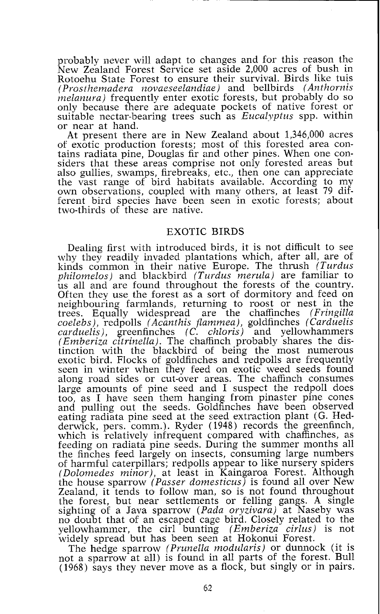probably never will adapt to changes and for this reason the New Zealand Forest Service set aside 2,000 acres of bush in Rotoehu State Forest to ensure their survival. Birds like tuis *(Prostlzemadera novaeseelandiae)* and bellbirds *(Anthornis*  only because there are adequate pockets of native forest or suitable nectar-bearing trees such as *Eucalyptus* spp. within or near at hand.

At present there are in New Zealand about 1,346,000 acres of exotic production forests; most of this forested area contains radiata pine, Douglas fir and other pines. When one considers that these areas comprise not only forested areas but also gullies, swamps, firebreaks, etc., then one can appreciate the vast range of bird habitats available. According to my own observations, coupled with many others, at least 79 different bird species have been seen in exotic forests; about two-thirds of these are native.

#### EXOTIC BIRDS

Dealing first with introduced birds, it is not difficult to see why they readily invaded plantations which, after all, are of kinds common in their native Europe. The thrush *(Turdus philomelos)* and blackbird *(Turdus merula)* are familiar to us all and are found throughout the forests of the country. Often they use the forest as a sort of dormitory and feed on neighbouring farmlands, returning to roost or nest in the trees. Equally widespread are the chaffinches *(Fringilla coelebs),* redpolls *(Acanthis flammea),* goldfinches *(Carduelzs carduelis),* greenfinches *(C. chloris)* and yellowhammers *(Emberiza citrinella).* The chaffinch probably shares the distinction with the blackbird of being the most numerous exotic bird. Flocks of goldfinches and redpolls are frequently seen in winter when they feed on exotic weed seeds found along road sides or cut-over areas. The chaffinch consumes large amounts of pine seed and I suspect the redpoll does too, as I have seen them hanging from pinaster pine cones and pulling out the seeds. Goldfinches have been observed eating radiata pine seed at the seed extraction plant (G. Hedderwick, pers. comm.). Ryder (1948) records the greenfinch, which is relatively infrequent compared with chaffinches, as feeding on radiata pine seeds. During the summer months all the finches feed largely on insects, consuming large numbers of harmful caterpillars; redpolls appear to like nursery spiders *(Dolomedes minor),* at least in Kaingaroa Forest. Although the house sparrow *(Passer domesticus)* is found all over New Zealand, it tends to follow man, so is not found throughout the forest, but near settlements or felling gangs. A single sighting of a Java sparrow *(Pada oryzivara)* at Naseby was no doubt that of an escaped cage bird. Closely related to the yellowhammer, the cirl bunting *(Emberiza cirlus)* is not widely spread but has been seen at Hokonui Forest.

The hedge sparrow *(Prunella modularis)* or dunnock (it is not a sparrow at all) is found in all parts of the forest. Bull (1968) says they never move as a flock, but singly or in pairs.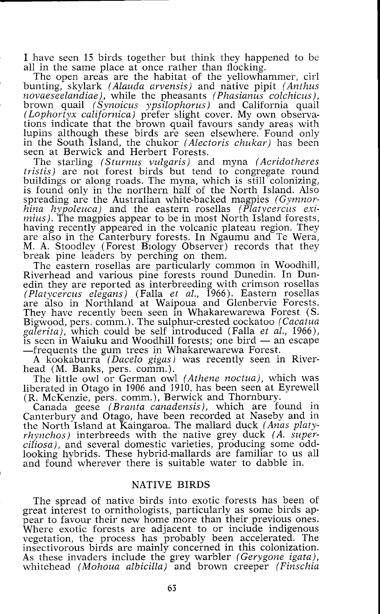I have seen 15 birds together but think they happened to be all in the same place at once rather than flocking.

The open areas are the habitat of the yellowhammer, cirl bunting, skylark *(Alauda arvensis)* and native pipit *(Anthus novaeseelandiae),* while the pheasants *(Phasianus colchicus),*  brown quail *(Synoicus ypsilophorus)* and California quail *(Lophortyx californica)* prefer slight cover. My own obseryations indicate that the brown quail favours sandy areas with lupins although these birds are seen elsewhere. Found only in the South Island, the chukor *(Alectoris chukar)* has been seen at Berwick and Herbert Forests.

The starling *(Sturnus vulgaris)* and myna *(Acridotheres tristis)* are not forest birds but tend to congregate round buildings or along roads. The myna, which is still colonizing, is found only in the northern half of the North Island. Also spreading are the Australian white-backed magpies *(Gymnorhina hypoleuca)* and the eastern rosellas *(Platycercus eximius*). The magpies appear to be in most North Island forests, having recently appeared in the volcanic plateau region. They are also in the Canterbury forests. In Ngaumu and Te Wera, M. A. Stoodley (Forest Blology Observer) records that they break pine leaders by perching on them.

The eastern rosellas are particularly common in Woodhill, Riverhead and various pine forests round Dunedin. In Dunedin they are reported as interbreeding with crimson rosellas *(Platycercus elegans)* (Falla *et al.,* 1966). Eastern rosellas are also in Northland at Waipoua and Glenbervie Forests. They have recently been seen in Whakarewarewa Forest *(S.*  Bigwood, pers, comm.). The sulphur-crested cockatoo *(Cacatua galerita),* which could be self introduced (Falla *et at.,* 1966), Higwood, pers. comm.). The sulphur-crested cockatoo (Cacatua galerita), which could be self introduced (Falla *et al.*, 1966), is seen in Waiuku and Woodhill forests; one bird — an escape in Frequents the gum trees in Whak -frequents the gum trees in Whakarewarewa Forest.

A kookaburra *(Dace10 gigas)* was recently seen in Riverhead (M. Banks, pers. comm.).

The little owl or German owl *(Athene noctua),* which was liberated in Otago in 1906 and 3910, has been seen at Eyrewell (R. McKenzie, pers. comm.), Berwick and Thornbury.

Canada geese *(Branta canadensis),* which are found in Canterbury and Otago, have been recorded at Naseby and in the North Island at Kaingaroa. The mallard duck (Anas platy $r hynchos)$  interbreeds with the native grey duck (A. super*ciliosa),* and several domestic varieties, producing some oddlooking hybrids. These hybrid-mallards are familiar to us all and found wherever there is suitable water to dabble in.

#### NATIVE BIRDS

The spread of native birds into exotic forests has been of great interest to ornithologists, particularly as some birds appear to favour their new home more than their previous ones. Where exotic forests are adjacent to or include indigenous vegetation, the process has probably been accelerated. The insectivorous birds are mainly concerned in this colonization. As these invaders include the grey warbler *(Gerygone igata),*  whitehead *(Mohoua albicilla)* and brown creeper *(Finschia*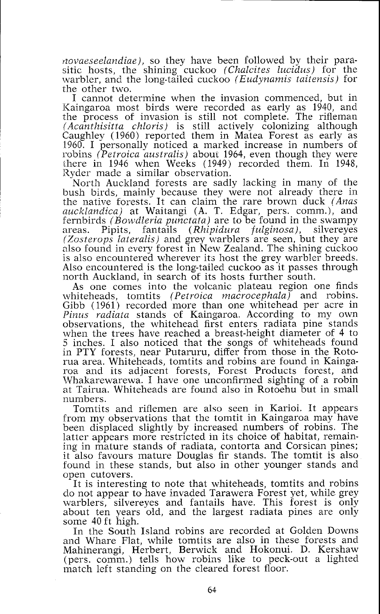*rzovaeseelandiae),* so they have been followed by their parasitic hosts, the shining cuckoo *(Chalcites lucidus)* for the warbler, and the long-tailed cuckoo *(Eudynamis taitensis)* for the other two.

I cannot determine when the invasion commenced, but in Kaingaroa most birds were recorded as early as 1940, and the process of invasion is still not complete. The rifleman *(Acanthisitta chloris)* is still actively colonizing although Caughley (1960) reported them in Matea Forest as early as 1960. I personally noticed a marked increase in numbers of robins *(Petroica australis)* about 1964, even though they were there in 1946 when Weeks (1949) recorded them. In 1948, Ryder made a similar observation.

North Auckland forests are sadly lacking in many of the bush birds, mainly because they were not already there in the native forests. It can claim the rare brown duck *(Anas uuclclandica)* at Waitangi *(A.* T. Edgar, pers. comm.), and fernbirds *(Bowdleria punctata)* are to be found in the swampy areas. Pipits, fantails *(Rhipidura fulginosa),* silvereyes *(Zosterops lateralis)* and grey warblers are seen, but they are also found in every forest in New Zealand. The shining cuckoo is also encountered wherever its host the grey warbler breeds. Also encountered is the long-tailed cuckoo as it passes through north Auckland, in search of its hosts further south.

As one comes into the volcanic plateau region one finds whiteheads, tomtits *(Petroica nzacrocephala)* and robins. Gibb (1961) recorded more than one whitehead per acre in *Pinus radiata* stands of Kaingaroa. According to my own observations, the whitehead first enters radiata pine stands when the trees have reached a breast-height diameter of 4 to 5 inches. I also noticed that the songs of whiteheads found in PTY forests, near Putaruru, differ from those in the Rotorua area. Whiteheads, tomtits and robins are found in Kaingaroa and its adjacent forests, Forest Products forest, and Whakarewarewa. I have one unconfirmed sighting of a robin at Tairua. Whiteheads are found also in Rotoehu but in small numbers.

Tomtits and riflemen are also seen in Karioi. It appears from my observations that the tomtit in Kaingaroa may have been displaced slightly by increased numbers of robins. The latter appears more restricted in its choice of habitat, remaining in mature stands of radiata, contorta and Corsican pines; it also favours mature Douglas fir stands. The tomtit is also found in these stands, but also in other younger stands and open cutovers.

It is interesting to note that whiteheads, tomtits and robins do not appear to have invaded Tarawera Forest yet, while grey warblers, silvereyes and fantails have. This forest is only about ten years old, and the largest radiata pines are only some 40 ft high.

In the South Island robins are recorded at Golden Downs and Whare Flat, while tomtits are also in these forests and Mahinerangi, Herbert, Berwick and Hokonui. D. Kershaw (pers. comm.) tells how robins like to peck-out a lighted match left standing on the cleared forest floor.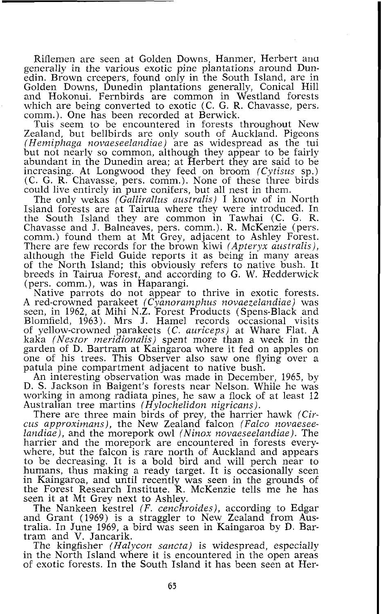Riflemen are seen at Golden Downs, Hanmer, Herbert mu generally in the various exotic pine plantations around Dunedin. Brown creepers, found only in the South Island, are in Golden Downs, Dunedin plantations generally, Conical Hill and Hokonui. Fernbirds are common in Westland forests which are being converted to exotic (C. G. R. Chavasse, pers. comm.). One has been recorded at Berwick.

Tuis seem to be encountered in forests throughout New Zealand, but bellbirds are only south of Auckland. Pigeons *(Hemiphaga novaeseelandiae)* are as widespread as the tui but not nearly so common, although they appear to be fairly abundant in the Dunedin area; at Herbert they are said to be increasing. At Longwood they feed on broom *(Cytisus* sp.) (C. G. R. Chavasse, pers. comm.). None of these three birds could live entirely in pure conifers, but all nest in them.

The only wekas *(Gallira2lus australis)* I know of in North Island forests are at Tairua where they were introduced. In the South Island they are common in Tawhai (C. G. R. Chavasse and J. Balneaves, pers. comm.). R. McKenzie (pers. comm.) found them at Mt Grey, adjacent to Ashley Forest. There are few records for the brown kiwi *(Apteryx australis),*  although the Field Guide reports it as being in many areas of the North Island; this obviously refers to native bush. It breeds in Tairua Forest, and according to G. W. Kedderwick (pers. comm.), was in Haparangi.

Native parrots do not appear to thrive in exotic forests. *A* red-crowned parakeet *(Cyanoranzphus novaezelandiae)* was seen, in 1962, at Mihi N.Z. Forest Products (Spens-Black and Blomfield, 1963). Mrs J. Hamel records occasional visits of yellow-crowned parakeets *(C. auriceps)* at Whare Flat. A kaka *(Nestor meridionalis)* spent more than a week in the garden of D. Bartram at Kaingaroa where it fed on apples on one of his trees. This Observer also saw one flying over a patula pine compartment adjacent to native bush.

An interesting observation was made in December, 1965, by D. S. Jackson in Baigent's forests near Nelson. While he was working in among radiata pines, he saw a flock of at least 12 Australian tree martins *(Hylochelidon nigricans).* 

There are three main birds of prey, the harrier hawk *(Circus approximans),* the New Zealand falcon *(Falco novaeseelandiae),* and the morepork owl *(Ninox novaeseelandiae).* The harrier and the morepork are encountered in forests everywhere, but the falcon is rare north of Auckland and appears to be decreasing. It is a bold bird and will perch near to humans, thus making a ready target. It is occasionally seen in Kaingaroa, and until recently was seen in the grounds of the Forest Research Institute. R. McKenzie tells me he has seen it at Mt Grey next to Ashley.

The Nankeen kestrel *(F, cenchroides),* according to Edgar and Grant (1969) is a straggler to New Zealand from Australia. In June 1969, a bird was seen in Kaingaroa by D. Bartram and V. Jancarik.

The kingfisher *(Halycon sancta)* is widespread, especially in the North Island where it is encountered in the open areas of exotic forests. In the South Island it has been seen at Her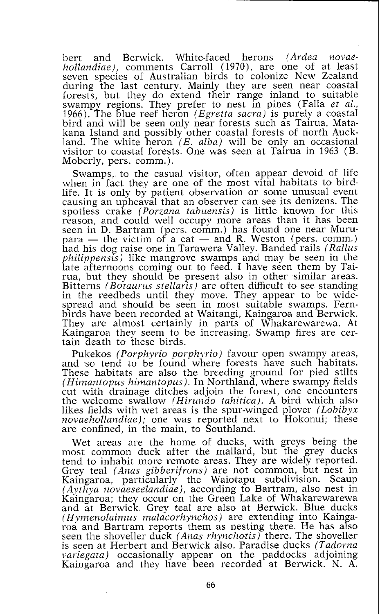bert and Berwick. White-faced herons *(Avdea novaehollandiae),* comments Carroll (1970), are one of at least seven species of Australian birds to colonize New Zealand during the last century. Mainly they are seen near coastal forests, but they do extend their range inland to suitable swampy regions. They prefer to nest in pines (Falla *et al.,*  1966). The blue reef heron *(Egvetta sacra)* is purely a coastal bird and will be seen only near forests such as Tairua, Matakana Island and possibly other coastal forests of north Auckland. The white heron (E. *alba)* will be only an occasional visitor to coastal forests. One was seen at Tairua in 1963 (B. Moberly, pers. comm.).

Swamps, to the casual visitor, often appear devoid of life when in fact they are one of the most vital habitats to birdlife. It is only by patient observation or some unusual event causing an upheaval that an observer can see its denizens. The spotless crake *(Porzana tabuensis)* is little known for this reason, and could well occupy more areas than it has been seen in D. Bartram (pers, comm.) has found one near Muruppersion, and could well occupy more areas than it has been<br>been in D. Bartram (pers. comm.) has found one near Muru-<br>para — the victim of a cat — and R. Weston (pers. comm.)<br>had his dog raise one in Tarawera Valley Bande had his dog raise one in Tarawera Valley. Banded rails *(Rallus philippensis)* like mangrove swamps and may be seen in the late afternoons coming out to feed. I have seen them by Tairua, but they should be present also in other similar areas. Bitterns *(Botauvus stellaris)* are often difficult to see standing in the reedbeds until they move. They appear to be widespread and should be seen in most suitable swamps. Fernbirds have been recorded at Waitangi, Kaingaroa and Berwick. They are almost certainly in parts of Whakarewarewa. At Kaingaroa they seem to be increasing. Swamp fires are certain death to these birds.

Pukekos *(Porphyrio porphyrio)* favour open swampy areas, and so tend to be found where forests have such habitats. These habitats are also the breeding ground for pied stilts *(Himantopus himantopus).* In Northland, where swampy fields cut with drainage ditches adjoin the forest, one encounters the welcome swallow *(Hivundo tahitica).* A bird which also likes fields with wet areas is the spur-winged plover *(Lobibyx novaehollandiae);* one was reported next to Hokonui; these are confined, in the main, to Southland.

Wet areas are the home of ducks, with greys being the most common duck after the mallard, but the grey ducks tend to inhabit more remote areas. They are widely reported. Grey teal *(Anas gibberifrons)* are not common, but nest in Kaingaroa, particularly the Waiotapu subdivision. Scaup Kaingaroa, particularly the Waiotapu subdivision. Scaup *(Aythya novaeseelandiae),* according to Bartram, also nest in Kaingaroa; they occur cn the Green Lake of Whakarewarewa and at Berwick. Grey teal are also at Berwick. Blue ducks *(Hymenolaimus malacovhynchos)* are extending into Kaingaroa and Bartram reports them as nesting there. He has also seen the shoveller duck *(Anus vhynchotis)* there. The shoveller is seen at Herbert and Berwick also. Paradise ducks *(Tadovna variegata*) occasionally appear on the paddocks adjoining Kaingaroa and they have been recorded at Berwick. N. **A.**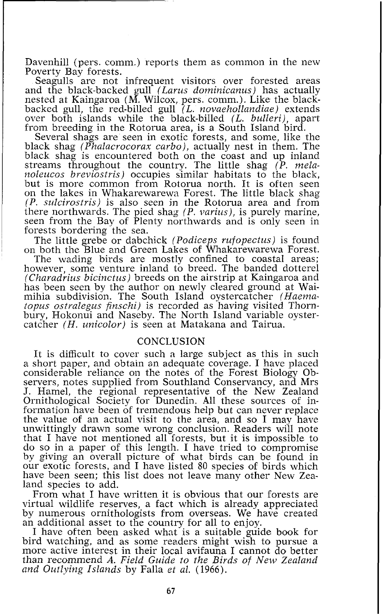Davenhill (pers. comm.) reports them as common in the new Poverty Bay forests.

Seagulls are not infrequent visitors over forested areas and the black-backed gull *(Larus dominicanus)* has actually nested at Kaingaroa (M. Wilcox, pers. comm.). Like the blackbacked gull, the red-billed gull *(L. novaehollandiae)* extends over both islands while the black-billed *(L. bulleri),* apart from breeding in the Rotorua area, is a South Island bird.

Several shags are seen in exotic forests, and some, like the black shag *(Phalacrocorax carbo),* actually nest in them. The black shag is encountered both on the coast and up inland streams throughout the country. The little shag *(P. melanoleucos breviostvis)* occupies similar habitats to the black, but is more common from Rotorua north. It is often seen on the lakes in Whakarewarewa Forest. The little black shag *(P. sulcirostris)* is also seen jn the Rotorua area and from there northwards. The pied shag *(P. varius),* is purely marine, seen from the Bay of Plenty northwards and is only seen in forests bordering the sea.

The little grebe or dabchick *(Podiceps rufopectus)* is found on both the Blue and Green Lakes of Whakarewarewa Forest.

The wading birds are mostly confined to coastal areas; however, some venture inland to breed. The banded dotterel *(Charadrius bicinctus)* breeds on the airstrip at Kaingaroa and has been seen by the author on newly cleared ground at Waimihia subdivision. The South Island oystercatcher *(Haematopus ostvalegus finschi)* is recorded as having visited Thornbury, Hokonui and Naseby. The North Island variable oystercatcher *(H. unicolor)* is seen at Matakana and Tairua.

## CONCLUSION

It is difficult to cover such a large subject as this in such a short paper, and obtain an adequate coverage. I have placed considerable reliance on the notes of the Forest Biology Observers, notes supplied from Southland Conservancy, and Mrs J. Hamel, the regional representative of the New Zealand Ornithological Society for Dunedin. All these sources of information have been of tremendous help but can never replace the value of an actual visit to the area, and so I may have unwittingly drawn some wrong conclusion. Readers will note that I have not mentioned all forests, but it is impossible to do so in a paper of this length. I have tried to compromise by giving an overall picture of what birds can be found in our exotic forests, and I have listed 80 species of birds which have been seen; this list does not leave many other New Zealand species to add.

From what I have written it is obvious that our forests are virtual wildlife reserves, a fact which is already appreciated by numerous ornithologists from overseas. We have created an additional asset to the country for all to enjoy.

I have often been asked what is a suitable guide book for bird watching, and as some readers might wish to pursue a more active interest in their local avifauna I cannot do better than recommend *A. Field Guide to the Birds of New Zealand and Outlying Islands* by Falla *et al.* (1966).